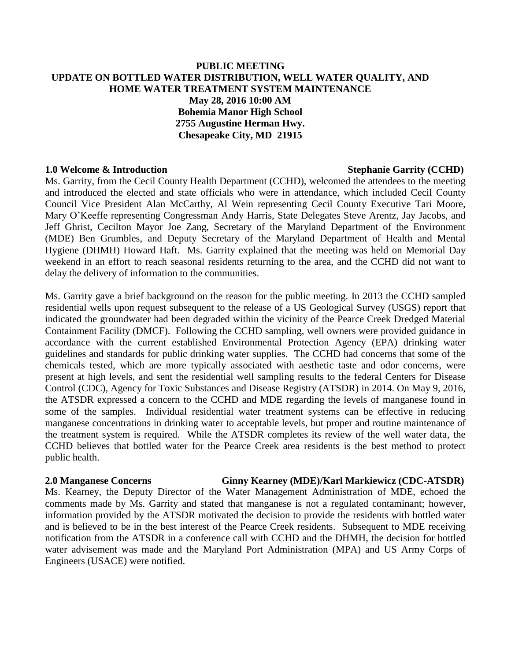## **PUBLIC MEETING UPDATE ON BOTTLED WATER DISTRIBUTION, WELL WATER QUALITY, AND HOME WATER TREATMENT SYSTEM MAINTENANCE May 28, 2016 10:00 AM Bohemia Manor High School 2755 Augustine Herman Hwy. Chesapeake City, MD 21915**

### **1.0 Welcome & Introduction**  $\bullet$  **Stephanie Garrity (CCHD)**

Ms. Garrity, from the Cecil County Health Department (CCHD), welcomed the attendees to the meeting and introduced the elected and state officials who were in attendance, which included Cecil County Council Vice President Alan McCarthy, Al Wein representing Cecil County Executive Tari Moore, Mary O'Keeffe representing Congressman Andy Harris, State Delegates Steve Arentz, Jay Jacobs, and Jeff Ghrist, Cecilton Mayor Joe Zang, Secretary of the Maryland Department of the Environment (MDE) Ben Grumbles, and Deputy Secretary of the Maryland Department of Health and Mental Hygiene (DHMH) Howard Haft. Ms. Garrity explained that the meeting was held on Memorial Day weekend in an effort to reach seasonal residents returning to the area, and the CCHD did not want to delay the delivery of information to the communities.

Ms. Garrity gave a brief background on the reason for the public meeting. In 2013 the CCHD sampled residential wells upon request subsequent to the release of a US Geological Survey (USGS) report that indicated the groundwater had been degraded within the vicinity of the Pearce Creek Dredged Material Containment Facility (DMCF). Following the CCHD sampling, well owners were provided guidance in accordance with the current established Environmental Protection Agency (EPA) drinking water guidelines and standards for public drinking water supplies. The CCHD had concerns that some of the chemicals tested, which are more typically associated with aesthetic taste and odor concerns, were present at high levels, and sent the residential well sampling results to the federal Centers for Disease Control (CDC), Agency for Toxic Substances and Disease Registry (ATSDR) in 2014. On May 9, 2016, the ATSDR expressed a concern to the CCHD and MDE regarding the levels of manganese found in some of the samples. Individual residential water treatment systems can be effective in reducing manganese concentrations in drinking water to acceptable levels, but proper and routine maintenance of the treatment system is required. While the ATSDR completes its review of the well water data, the CCHD believes that bottled water for the Pearce Creek area residents is the best method to protect public health.

### **2.0 Manganese Concerns Ginny Kearney (MDE)/Karl Markiewicz (CDC-ATSDR)**

Ms. Kearney, the Deputy Director of the Water Management Administration of MDE, echoed the comments made by Ms. Garrity and stated that manganese is not a regulated contaminant; however, information provided by the ATSDR motivated the decision to provide the residents with bottled water and is believed to be in the best interest of the Pearce Creek residents. Subsequent to MDE receiving notification from the ATSDR in a conference call with CCHD and the DHMH, the decision for bottled water advisement was made and the Maryland Port Administration (MPA) and US Army Corps of Engineers (USACE) were notified.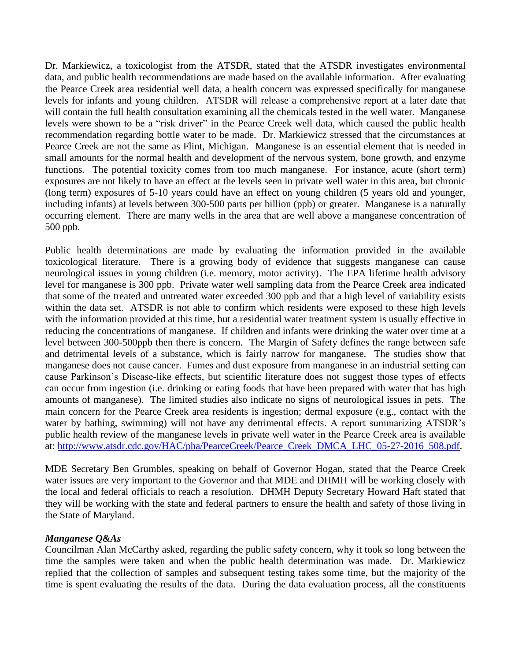Dr. Markiewicz, a toxicologist from the ATSDR, stated that the ATSDR investigates environmental data, and public health recommendations are made based on the available information. After evaluating the Pearce Creek area residential well data, a health concern was expressed specifically for manganese levels for infants and young children. ATSDR will release a comprehensive report at a later date that will contain the full health consultation examining all the chemicals tested in the well water. Manganese levels were shown to be a "risk driver" in the Pearce Creek well data, which caused the public health recommendation regarding bottle water to be made. Dr. Markiewicz stressed that the circumstances at Pearce Creek are not the same as Flint, Michigan. Manganese is an essential element that is needed in small amounts for the normal health and development of the nervous system, bone growth, and enzyme functions. The potential toxicity comes from too much manganese. For instance, acute (short term) exposures are not likely to have an effect at the levels seen in private well water in this area, but chronic (long term) exposures of 5-10 years could have an effect on young children (5 years old and younger, including infants) at levels between 300-500 parts per billion (ppb) or greater. Manganese is a naturally occurring element. There are many wells in the area that are well above a manganese concentration of 500 ppb.

Public health determinations are made by evaluating the information provided in the available toxicological literature. There is a growing body of evidence that suggests manganese can cause neurological issues in young children (i.e. memory, motor activity). The EPA lifetime health advisory level for manganese is 300 ppb. Private water well sampling data from the Pearce Creek area indicated that some of the treated and untreated water exceeded 300 ppb and that a high level of variability exists within the data set. ATSDR is not able to confirm which residents were exposed to these high levels with the information provided at this time, but a residential water treatment system is usually effective in reducing the concentrations of manganese. If children and infants were drinking the water over time at a level between 300-500ppb then there is concern. The Margin of Safety defines the range between safe and detrimental levels of a substance, which is fairly narrow for manganese. The studies show that manganese does not cause cancer. Fumes and dust exposure from manganese in an industrial setting can cause Parkinson's Disease-like effects, but scientific literature does not suggest those types of effects can occur from ingestion (i.e. drinking or eating foods that have been prepared with water that has high amounts of manganese). The limited studies also indicate no signs of neurological issues in pets. The main concern for the Pearce Creek area residents is ingestion; dermal exposure (e.g., contact with the water by bathing, swimming) will not have any detrimental effects. A report summarizing ATSDR's public health review of the manganese levels in private well water in the Pearce Creek area is available at: [http://www.atsdr.cdc.gov/HAC/pha/PearceCreek/Pearce\\_Creek\\_DMCA\\_LHC\\_05-27-2016\\_508.pdf.](http://www.atsdr.cdc.gov/HAC/pha/PearceCreek/Pearce_Creek_DMCA_LHC_05-27-2016_508.pdf)

MDE Secretary Ben Grumbles, speaking on behalf of Governor Hogan, stated that the Pearce Creek water issues are very important to the Governor and that MDE and DHMH will be working closely with the local and federal officials to reach a resolution. DHMH Deputy Secretary Howard Haft stated that they will be working with the state and federal partners to ensure the health and safety of those living in the State of Maryland.

# *Manganese Q&As*

Councilman Alan McCarthy asked, regarding the public safety concern, why it took so long between the time the samples were taken and when the public health determination was made. Dr. Markiewicz replied that the collection of samples and subsequent testing takes some time, but the majority of the time is spent evaluating the results of the data. During the data evaluation process, all the constituents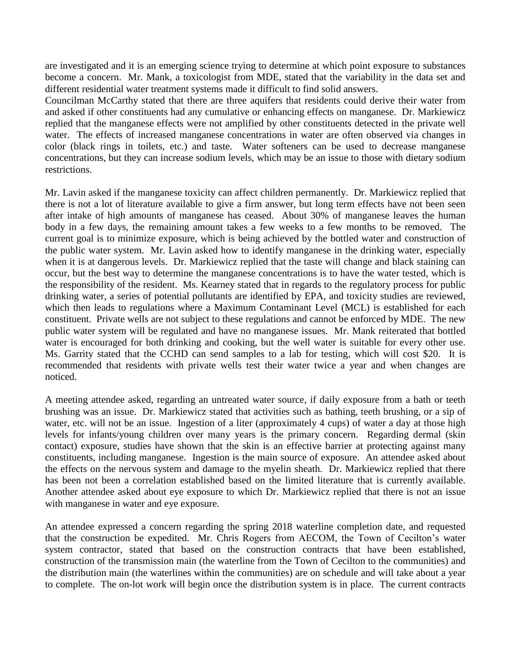are investigated and it is an emerging science trying to determine at which point exposure to substances become a concern. Mr. Mank, a toxicologist from MDE, stated that the variability in the data set and different residential water treatment systems made it difficult to find solid answers.

Councilman McCarthy stated that there are three aquifers that residents could derive their water from and asked if other constituents had any cumulative or enhancing effects on manganese. Dr. Markiewicz replied that the manganese effects were not amplified by other constituents detected in the private well water. The effects of increased manganese concentrations in water are often observed via changes in color (black rings in toilets, etc.) and taste. Water softeners can be used to decrease manganese concentrations, but they can increase sodium levels, which may be an issue to those with dietary sodium restrictions.

Mr. Lavin asked if the manganese toxicity can affect children permanently. Dr. Markiewicz replied that there is not a lot of literature available to give a firm answer, but long term effects have not been seen after intake of high amounts of manganese has ceased. About 30% of manganese leaves the human body in a few days, the remaining amount takes a few weeks to a few months to be removed. The current goal is to minimize exposure, which is being achieved by the bottled water and construction of the public water system. Mr. Lavin asked how to identify manganese in the drinking water, especially when it is at dangerous levels. Dr. Markiewicz replied that the taste will change and black staining can occur, but the best way to determine the manganese concentrations is to have the water tested, which is the responsibility of the resident. Ms. Kearney stated that in regards to the regulatory process for public drinking water, a series of potential pollutants are identified by EPA, and toxicity studies are reviewed, which then leads to regulations where a Maximum Contaminant Level (MCL) is established for each constituent. Private wells are not subject to these regulations and cannot be enforced by MDE. The new public water system will be regulated and have no manganese issues. Mr. Mank reiterated that bottled water is encouraged for both drinking and cooking, but the well water is suitable for every other use. Ms. Garrity stated that the CCHD can send samples to a lab for testing, which will cost \$20. It is recommended that residents with private wells test their water twice a year and when changes are noticed.

A meeting attendee asked, regarding an untreated water source, if daily exposure from a bath or teeth brushing was an issue. Dr. Markiewicz stated that activities such as bathing, teeth brushing, or a sip of water, etc. will not be an issue. Ingestion of a liter (approximately 4 cups) of water a day at those high levels for infants/young children over many years is the primary concern. Regarding dermal (skin contact) exposure, studies have shown that the skin is an effective barrier at protecting against many constituents, including manganese. Ingestion is the main source of exposure. An attendee asked about the effects on the nervous system and damage to the myelin sheath. Dr. Markiewicz replied that there has been not been a correlation established based on the limited literature that is currently available. Another attendee asked about eye exposure to which Dr. Markiewicz replied that there is not an issue with manganese in water and eye exposure.

An attendee expressed a concern regarding the spring 2018 waterline completion date, and requested that the construction be expedited. Mr. Chris Rogers from AECOM, the Town of Cecilton's water system contractor, stated that based on the construction contracts that have been established, construction of the transmission main (the waterline from the Town of Cecilton to the communities) and the distribution main (the waterlines within the communities) are on schedule and will take about a year to complete. The on-lot work will begin once the distribution system is in place. The current contracts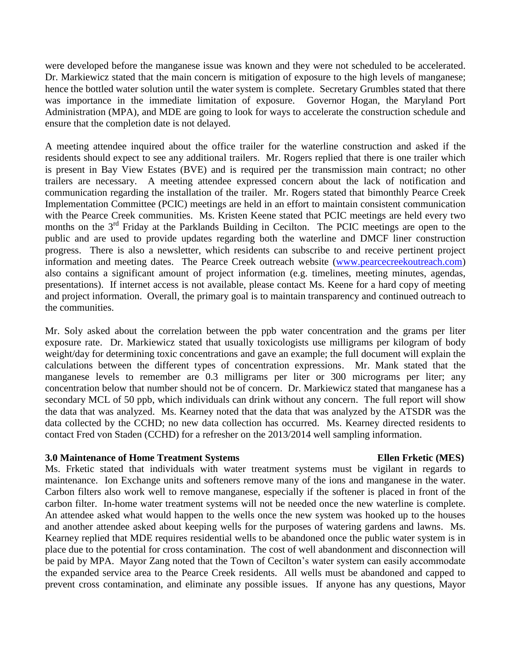were developed before the manganese issue was known and they were not scheduled to be accelerated. Dr. Markiewicz stated that the main concern is mitigation of exposure to the high levels of manganese; hence the bottled water solution until the water system is complete. Secretary Grumbles stated that there was importance in the immediate limitation of exposure. Governor Hogan, the Maryland Port Administration (MPA), and MDE are going to look for ways to accelerate the construction schedule and ensure that the completion date is not delayed.

A meeting attendee inquired about the office trailer for the waterline construction and asked if the residents should expect to see any additional trailers. Mr. Rogers replied that there is one trailer which is present in Bay View Estates (BVE) and is required per the transmission main contract; no other trailers are necessary. A meeting attendee expressed concern about the lack of notification and communication regarding the installation of the trailer. Mr. Rogers stated that bimonthly Pearce Creek Implementation Committee (PCIC) meetings are held in an effort to maintain consistent communication with the Pearce Creek communities. Ms. Kristen Keene stated that PCIC meetings are held every two months on the  $3<sup>rd</sup>$  Friday at the Parklands Building in Cecilton. The PCIC meetings are open to the public and are used to provide updates regarding both the waterline and DMCF liner construction progress. There is also a newsletter, which residents can subscribe to and receive pertinent project information and meeting dates. The Pearce Creek outreach website [\(www.pearcecreekoutreach.com\)](http://www.pearcecreekoutreach.com/) also contains a significant amount of project information (e.g. timelines, meeting minutes, agendas, presentations). If internet access is not available, please contact Ms. Keene for a hard copy of meeting and project information. Overall, the primary goal is to maintain transparency and continued outreach to the communities.

Mr. Soly asked about the correlation between the ppb water concentration and the grams per liter exposure rate. Dr. Markiewicz stated that usually toxicologists use milligrams per kilogram of body weight/day for determining toxic concentrations and gave an example; the full document will explain the calculations between the different types of concentration expressions. Mr. Mank stated that the manganese levels to remember are 0.3 milligrams per liter or 300 micrograms per liter; any concentration below that number should not be of concern. Dr. Markiewicz stated that manganese has a secondary MCL of 50 ppb, which individuals can drink without any concern. The full report will show the data that was analyzed. Ms. Kearney noted that the data that was analyzed by the ATSDR was the data collected by the CCHD; no new data collection has occurred. Ms. Kearney directed residents to contact Fred von Staden (CCHD) for a refresher on the 2013/2014 well sampling information.

### **3.0 Maintenance of Home Treatment Systems Ellen Frketic (MES)**

Ms. Frketic stated that individuals with water treatment systems must be vigilant in regards to maintenance. Ion Exchange units and softeners remove many of the ions and manganese in the water. Carbon filters also work well to remove manganese, especially if the softener is placed in front of the carbon filter. In-home water treatment systems will not be needed once the new waterline is complete. An attendee asked what would happen to the wells once the new system was hooked up to the houses and another attendee asked about keeping wells for the purposes of watering gardens and lawns. Ms. Kearney replied that MDE requires residential wells to be abandoned once the public water system is in place due to the potential for cross contamination. The cost of well abandonment and disconnection will be paid by MPA. Mayor Zang noted that the Town of Cecilton's water system can easily accommodate the expanded service area to the Pearce Creek residents. All wells must be abandoned and capped to prevent cross contamination, and eliminate any possible issues. If anyone has any questions, Mayor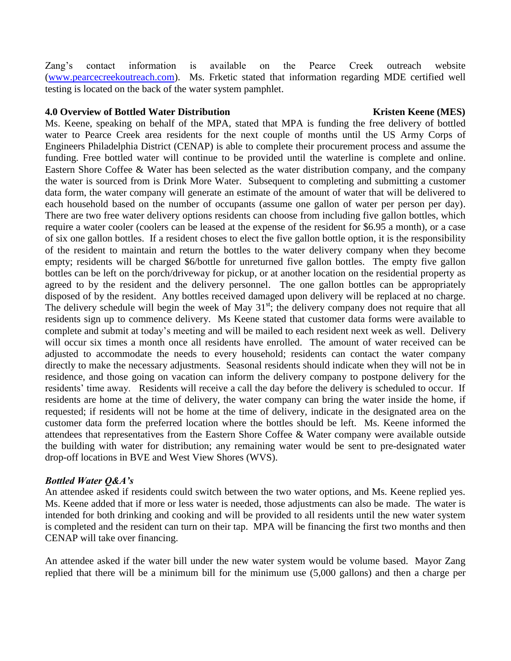Zang's contact information is available on the Pearce Creek outreach website [\(www.pearcecreekoutreach.com\)](http://www.pearcecreekoutreach.com/). Ms. Frketic stated that information regarding MDE certified well testing is located on the back of the water system pamphlet.

## **4.0 Overview of Bottled Water Distribution Kristen Keene (MES)**

Ms. Keene, speaking on behalf of the MPA, stated that MPA is funding the free delivery of bottled water to Pearce Creek area residents for the next couple of months until the US Army Corps of Engineers Philadelphia District (CENAP) is able to complete their procurement process and assume the funding. Free bottled water will continue to be provided until the waterline is complete and online. Eastern Shore Coffee & Water has been selected as the water distribution company, and the company the water is sourced from is Drink More Water. Subsequent to completing and submitting a customer data form, the water company will generate an estimate of the amount of water that will be delivered to each household based on the number of occupants (assume one gallon of water per person per day). There are two free water delivery options residents can choose from including five gallon bottles, which require a water cooler (coolers can be leased at the expense of the resident for \$6.95 a month), or a case of six one gallon bottles. If a resident choses to elect the five gallon bottle option, it is the responsibility of the resident to maintain and return the bottles to the water delivery company when they become empty; residents will be charged \$6/bottle for unreturned five gallon bottles. The empty five gallon bottles can be left on the porch/driveway for pickup, or at another location on the residential property as agreed to by the resident and the delivery personnel. The one gallon bottles can be appropriately disposed of by the resident. Any bottles received damaged upon delivery will be replaced at no charge. The delivery schedule will begin the week of May  $31<sup>st</sup>$ ; the delivery company does not require that all residents sign up to commence delivery. Ms Keene stated that customer data forms were available to complete and submit at today's meeting and will be mailed to each resident next week as well. Delivery will occur six times a month once all residents have enrolled. The amount of water received can be adjusted to accommodate the needs to every household; residents can contact the water company directly to make the necessary adjustments. Seasonal residents should indicate when they will not be in residence, and those going on vacation can inform the delivery company to postpone delivery for the residents' time away. Residents will receive a call the day before the delivery is scheduled to occur. If residents are home at the time of delivery, the water company can bring the water inside the home, if requested; if residents will not be home at the time of delivery, indicate in the designated area on the customer data form the preferred location where the bottles should be left. Ms. Keene informed the attendees that representatives from the Eastern Shore Coffee & Water company were available outside the building with water for distribution; any remaining water would be sent to pre-designated water drop-off locations in BVE and West View Shores (WVS).

# *Bottled Water Q&A's*

An attendee asked if residents could switch between the two water options, and Ms. Keene replied yes. Ms. Keene added that if more or less water is needed, those adjustments can also be made. The water is intended for both drinking and cooking and will be provided to all residents until the new water system is completed and the resident can turn on their tap. MPA will be financing the first two months and then CENAP will take over financing.

An attendee asked if the water bill under the new water system would be volume based. Mayor Zang replied that there will be a minimum bill for the minimum use (5,000 gallons) and then a charge per